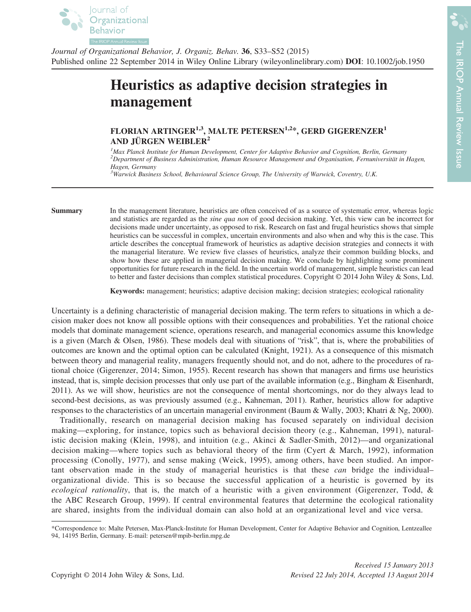

Journal of Organizational Behavior, J. Organiz. Behav. 36, S33-S52 (2015) Published online 22 September 2014 in Wiley Online Library (wileyonlinelibrary.com) DOI: 10.1002/job.1950

# Heuristics as adaptive decision strategies in management

FLORIAN ARTINGER<sup>1,3</sup>, MALTE PETERSEN<sup>1,2\*</sup>, GERD GIGERENZER<sup>1</sup> AND JÜRGEN WEIBLER<sup>2</sup>

<sup>1</sup>Max Planck Institute for Human Development, Center for Adaptive Behavior and Cognition, Berlin, Germany 2 Department of Business Administration, Human Resource Management and Organisation, Fernuniversität in Hagen, Hagen, Germany

 $3$ Warwick Business School, Behavioural Science Group, The University of Warwick, Coventry, U.K.

**Summary** In the management literature, heuristics are often conceived of as a source of systematic error, whereas logic and statistics are regarded as the *sine qua non* of good decision making. Yet, this view can be incorrect for decisions made under uncertainty, as opposed to risk. Research on fast and frugal heuristics shows that simple heuristics can be successful in complex, uncertain environments and also when and why this is the case. This article describes the conceptual framework of heuristics as adaptive decision strategies and connects it with the managerial literature. We review five classes of heuristics, analyze their common building blocks, and show how these are applied in managerial decision making. We conclude by highlighting some prominent opportunities for future research in the field. In the uncertain world of management, simple heuristics can lead to better and faster decisions than complex statistical procedures. Copyright © 2014 John Wiley & Sons, Ltd.

Keywords: management; heuristics; adaptive decision making; decision strategies; ecological rationality

Uncertainty is a defining characteristic of managerial decision making. The term refers to situations in which a decision maker does not know all possible options with their consequences and probabilities. Yet the rational choice models that dominate management science, operations research, and managerial economics assume this knowledge is a given (March & Olsen, 1986). These models deal with situations of "risk", that is, where the probabilities of outcomes are known and the optimal option can be calculated (Knight, 1921). As a consequence of this mismatch between theory and managerial reality, managers frequently should not, and do not, adhere to the procedures of rational choice (Gigerenzer, 2014; Simon, 1955). Recent research has shown that managers and firms use heuristics instead, that is, simple decision processes that only use part of the available information (e.g., Bingham & Eisenhardt, 2011). As we will show, heuristics are not the consequence of mental shortcomings, nor do they always lead to second-best decisions, as was previously assumed (e.g., Kahneman, 2011). Rather, heuristics allow for adaptive responses to the characteristics of an uncertain managerial environment (Baum & Wally, 2003; Khatri & Ng, 2000).

Traditionally, research on managerial decision making has focused separately on individual decision making—exploring, for instance, topics such as behavioral decision theory (e.g., Kahneman, 1991), naturalistic decision making (Klein, 1998), and intuition (e.g., Akinci & Sadler-Smith, 2012)—and organizational decision making—where topics such as behavioral theory of the firm (Cyert & March, 1992), information processing (Conolly, 1977), and sense making (Weick, 1995), among others, have been studied. An important observation made in the study of managerial heuristics is that these *can* bridge the individual– organizational divide. This is so because the successful application of a heuristic is governed by its ecological rationality, that is, the match of a heuristic with a given environment (Gigerenzer, Todd,  $\&$ the ABC Research Group, 1999). If central environmental features that determine the ecological rationality are shared, insights from the individual domain can also hold at an organizational level and vice versa.

<sup>\*</sup>Correspondence to: Malte Petersen, Max-Planck-Institute for Human Development, Center for Adaptive Behavior and Cognition, Lentzeallee 94, 14195 Berlin, Germany. E-mail: petersen@mpib-berlin.mpg.de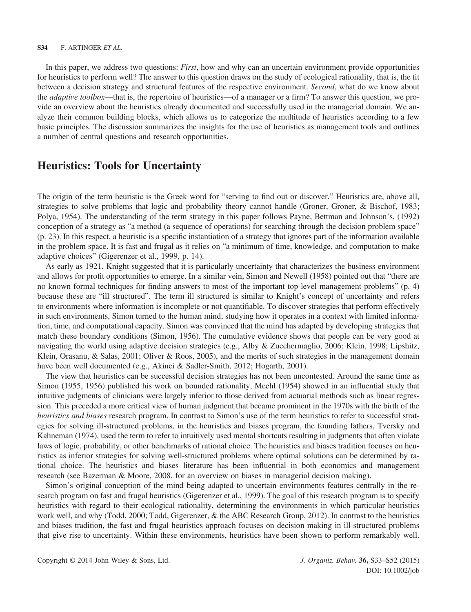#### S34 F. ARTINGER ET AL.

In this paper, we address two questions: *First*, how and why can an uncertain environment provide opportunities for heuristics to perform well? The answer to this question draws on the study of ecological rationality, that is, the fit between a decision strategy and structural features of the respective environment. Second, what do we know about the *adaptive toolbox*—that is, the repertoire of heuristics—of a manager or a firm? To answer this question, we provide an overview about the heuristics already documented and successfully used in the managerial domain. We analyze their common building blocks, which allows us to categorize the multitude of heuristics according to a few basic principles. The discussion summarizes the insights for the use of heuristics as management tools and outlines a number of central questions and research opportunities.

# Heuristics: Tools for Uncertainty

The origin of the term heuristic is the Greek word for "serving to find out or discover." Heuristics are, above all, strategies to solve problems that logic and probability theory cannot handle (Groner, Groner, & Bischof, 1983; Polya, 1954). The understanding of the term strategy in this paper follows Payne, Bettman and Johnson's, (1992) conception of a strategy as "a method (a sequence of operations) for searching through the decision problem space" (p. 23). In this respect, a heuristic is a specific instantiation of a strategy that ignores part of the information available in the problem space. It is fast and frugal as it relies on "a minimum of time, knowledge, and computation to make adaptive choices" (Gigerenzer et al., 1999, p. 14).

As early as 1921, Knight suggested that it is particularly uncertainty that characterizes the business environment and allows for profit opportunities to emerge. In a similar vein, Simon and Newell (1958) pointed out that "there are no known formal techniques for finding answers to most of the important top-level management problems" (p. 4) because these are "ill structured". The term ill structured is similar to Knight's concept of uncertainty and refers to environments where information is incomplete or not quantifiable. To discover strategies that perform effectively in such environments, Simon turned to the human mind, studying how it operates in a context with limited information, time, and computational capacity. Simon was convinced that the mind has adapted by developing strategies that match these boundary conditions (Simon, 1956). The cumulative evidence shows that people can be very good at navigating the world using adaptive decision strategies (e.g., Alby & Zucchermaglio, 2006; Klein, 1998; Lipshitz, Klein, Orasanu, & Salas, 2001; Oliver & Roos, 2005), and the merits of such strategies in the management domain have been well documented (e.g., Akinci & Sadler-Smith, 2012; Hogarth, 2001).

The view that heuristics can be successful decision strategies has not been uncontested. Around the same time as Simon (1955, 1956) published his work on bounded rationality, Meehl (1954) showed in an influential study that intuitive judgments of clinicians were largely inferior to those derived from actuarial methods such as linear regression. This preceded a more critical view of human judgment that became prominent in the 1970s with the birth of the heuristics and biases research program. In contrast to Simon's use of the term heuristics to refer to successful strategies for solving ill-structured problems, in the heuristics and biases program, the founding fathers, Tversky and Kahneman (1974), used the term to refer to intuitively used mental shortcuts resulting in judgments that often violate laws of logic, probability, or other benchmarks of rational choice. The heuristics and biases tradition focuses on heuristics as inferior strategies for solving well-structured problems where optimal solutions can be determined by rational choice. The heuristics and biases literature has been influential in both economics and management research (see Bazerman & Moore, 2008, for an overview on biases in managerial decision making).

Simon's original conception of the mind being adapted to uncertain environments features centrally in the research program on fast and frugal heuristics (Gigerenzer et al., 1999). The goal of this research program is to specify heuristics with regard to their ecological rationality, determining the environments in which particular heuristics work well, and why (Todd, 2000; Todd, Gigerenzer, & the ABC Research Group, 2012). In contrast to the heuristics and biases tradition, the fast and frugal heuristics approach focuses on decision making in ill-structured problems that give rise to uncertainty. Within these environments, heuristics have been shown to perform remarkably well.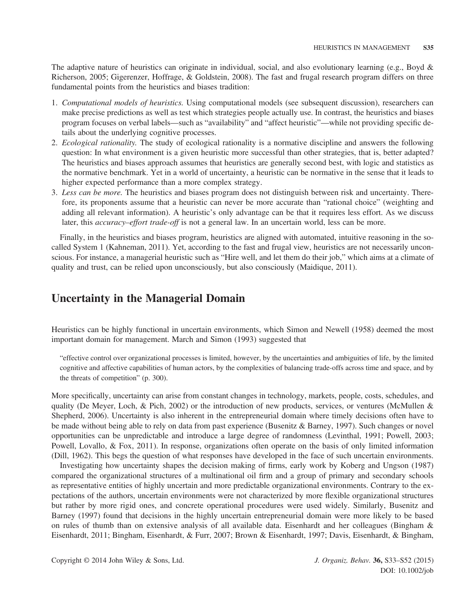The adaptive nature of heuristics can originate in individual, social, and also evolutionary learning (e.g., Boyd & Richerson, 2005; Gigerenzer, Hoffrage, & Goldstein, 2008). The fast and frugal research program differs on three fundamental points from the heuristics and biases tradition:

- 1. Computational models of heuristics. Using computational models (see subsequent discussion), researchers can make precise predictions as well as test which strategies people actually use. In contrast, the heuristics and biases program focuses on verbal labels—such as "availability" and "affect heuristic"—while not providing specific details about the underlying cognitive processes.
- 2. Ecological rationality. The study of ecological rationality is a normative discipline and answers the following question: In what environment is a given heuristic more successful than other strategies, that is, better adapted? The heuristics and biases approach assumes that heuristics are generally second best, with logic and statistics as the normative benchmark. Yet in a world of uncertainty, a heuristic can be normative in the sense that it leads to higher expected performance than a more complex strategy.
- 3. Less can be more. The heuristics and biases program does not distinguish between risk and uncertainty. Therefore, its proponents assume that a heuristic can never be more accurate than "rational choice" (weighting and adding all relevant information). A heuristic's only advantage can be that it requires less effort. As we discuss later, this *accuracy–effort trade-off* is not a general law. In an uncertain world, less can be more.

Finally, in the heuristics and biases program, heuristics are aligned with automated, intuitive reasoning in the socalled System 1 (Kahneman, 2011). Yet, according to the fast and frugal view, heuristics are not necessarily unconscious. For instance, a managerial heuristic such as "Hire well, and let them do their job," which aims at a climate of quality and trust, can be relied upon unconsciously, but also consciously (Maidique, 2011).

# Uncertainty in the Managerial Domain

Heuristics can be highly functional in uncertain environments, which Simon and Newell (1958) deemed the most important domain for management. March and Simon (1993) suggested that

"effective control over organizational processes is limited, however, by the uncertainties and ambiguities of life, by the limited cognitive and affective capabilities of human actors, by the complexities of balancing trade-offs across time and space, and by the threats of competition" (p. 300).

More specifically, uncertainty can arise from constant changes in technology, markets, people, costs, schedules, and quality (De Meyer, Loch, & Pich, 2002) or the introduction of new products, services, or ventures (McMullen & Shepherd, 2006). Uncertainty is also inherent in the entrepreneurial domain where timely decisions often have to be made without being able to rely on data from past experience (Busenitz & Barney, 1997). Such changes or novel opportunities can be unpredictable and introduce a large degree of randomness (Levinthal, 1991; Powell, 2003; Powell, Lovallo, & Fox, 2011). In response, organizations often operate on the basis of only limited information (Dill, 1962). This begs the question of what responses have developed in the face of such uncertain environments.

Investigating how uncertainty shapes the decision making of firms, early work by Koberg and Ungson (1987) compared the organizational structures of a multinational oil firm and a group of primary and secondary schools as representative entities of highly uncertain and more predictable organizational environments. Contrary to the expectations of the authors, uncertain environments were not characterized by more flexible organizational structures but rather by more rigid ones, and concrete operational procedures were used widely. Similarly, Busenitz and Barney (1997) found that decisions in the highly uncertain entrepreneurial domain were more likely to be based on rules of thumb than on extensive analysis of all available data. Eisenhardt and her colleagues (Bingham & Eisenhardt, 2011; Bingham, Eisenhardt, & Furr, 2007; Brown & Eisenhardt, 1997; Davis, Eisenhardt, & Bingham,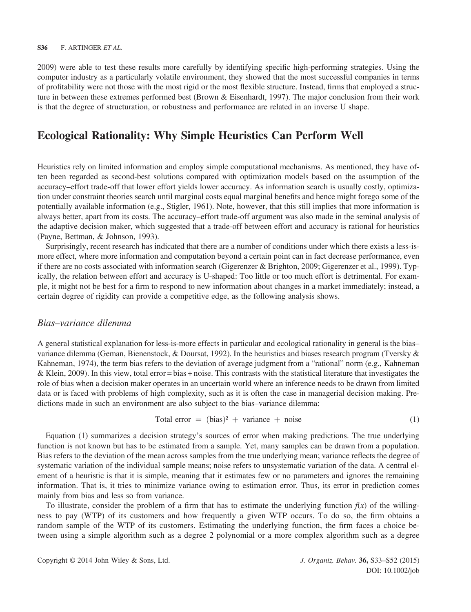#### S36 F. ARTINGER ET AL.

2009) were able to test these results more carefully by identifying specific high-performing strategies. Using the computer industry as a particularly volatile environment, they showed that the most successful companies in terms of profitability were not those with the most rigid or the most flexible structure. Instead, firms that employed a structure in between these extremes performed best (Brown & Eisenhardt, 1997). The major conclusion from their work is that the degree of structuration, or robustness and performance are related in an inverse U shape.

# Ecological Rationality: Why Simple Heuristics Can Perform Well

Heuristics rely on limited information and employ simple computational mechanisms. As mentioned, they have often been regarded as second-best solutions compared with optimization models based on the assumption of the accuracy–effort trade-off that lower effort yields lower accuracy. As information search is usually costly, optimization under constraint theories search until marginal costs equal marginal benefits and hence might forego some of the potentially available information (e.g., Stigler, 1961). Note, however, that this still implies that more information is always better, apart from its costs. The accuracy–effort trade-off argument was also made in the seminal analysis of the adaptive decision maker, which suggested that a trade-off between effort and accuracy is rational for heuristics (Payne, Bettman, & Johnson, 1993).

Surprisingly, recent research has indicated that there are a number of conditions under which there exists a less-ismore effect, where more information and computation beyond a certain point can in fact decrease performance, even if there are no costs associated with information search (Gigerenzer & Brighton, 2009; Gigerenzer et al., 1999). Typically, the relation between effort and accuracy is U-shaped: Too little or too much effort is detrimental. For example, it might not be best for a firm to respond to new information about changes in a market immediately; instead, a certain degree of rigidity can provide a competitive edge, as the following analysis shows.

### Bias–variance dilemma

A general statistical explanation for less-is-more effects in particular and ecological rationality in general is the bias– variance dilemma (Geman, Bienenstock, & Doursat, 1992). In the heuristics and biases research program (Tversky & Kahneman, 1974), the term bias refers to the deviation of average judgment from a "rational" norm (e.g., Kahneman & Klein, 2009). In this view, total error = bias + noise. This contrasts with the statistical literature that investigates the role of bias when a decision maker operates in an uncertain world where an inference needs to be drawn from limited data or is faced with problems of high complexity, such as it is often the case in managerial decision making. Predictions made in such an environment are also subject to the bias–variance dilemma:

Total error = 
$$
(bias)^2
$$
 + variance + noise (1)

Equation (1) summarizes a decision strategy's sources of error when making predictions. The true underlying function is not known but has to be estimated from a sample. Yet, many samples can be drawn from a population. Bias refers to the deviation of the mean across samples from the true underlying mean; variance reflects the degree of systematic variation of the individual sample means; noise refers to unsystematic variation of the data. A central element of a heuristic is that it is simple, meaning that it estimates few or no parameters and ignores the remaining information. That is, it tries to minimize variance owing to estimation error. Thus, its error in prediction comes mainly from bias and less so from variance.

To illustrate, consider the problem of a firm that has to estimate the underlying function  $f(x)$  of the willingness to pay (WTP) of its customers and how frequently a given WTP occurs. To do so, the firm obtains a random sample of the WTP of its customers. Estimating the underlying function, the firm faces a choice between using a simple algorithm such as a degree 2 polynomial or a more complex algorithm such as a degree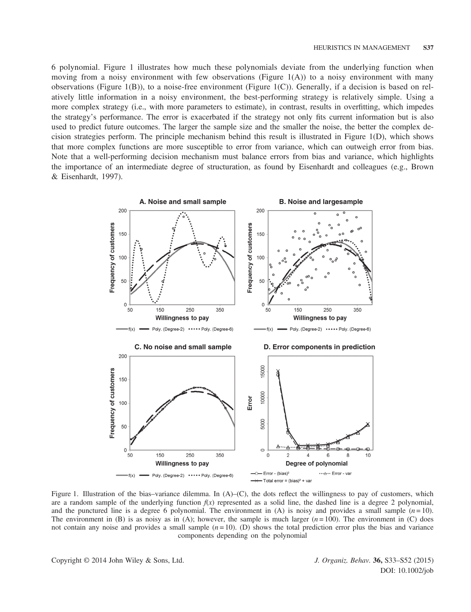6 polynomial. Figure 1 illustrates how much these polynomials deviate from the underlying function when moving from a noisy environment with few observations (Figure  $1(A)$ ) to a noisy environment with many observations (Figure 1(B)), to a noise-free environment (Figure 1(C)). Generally, if a decision is based on relatively little information in a noisy environment, the best-performing strategy is relatively simple. Using a more complex strategy (i.e., with more parameters to estimate), in contrast, results in overfitting, which impedes the strategy's performance. The error is exacerbated if the strategy not only fits current information but is also used to predict future outcomes. The larger the sample size and the smaller the noise, the better the complex decision strategies perform. The principle mechanism behind this result is illustrated in Figure 1(D), which shows that more complex functions are more susceptible to error from variance, which can outweigh error from bias. Note that a well-performing decision mechanism must balance errors from bias and variance, which highlights the importance of an intermediate degree of structuration, as found by Eisenhardt and colleagues (e.g., Brown & Eisenhardt, 1997).



Figure 1. Illustration of the bias–variance dilemma. In (A)–(C), the dots reflect the willingness to pay of customers, which are a random sample of the underlying function  $f(x)$  represented as a solid line, the dashed line is a degree 2 polynomial, and the punctured line is a degree 6 polynomial. The environment in (A) is noisy and provides a small sample  $(n = 10)$ . The environment in (B) is as noisy as in (A); however, the sample is much larger  $(n = 100)$ . The environment in (C) does not contain any noise and provides a small sample  $(n = 10)$ . (D) shows the total prediction error plus the bias and variance components depending on the polynomial

Copyright © 2014 John Wiley & Sons, Ltd. J. Organiz. Behav. 36, S33–S52 (2015)

DOI: 10.1002/job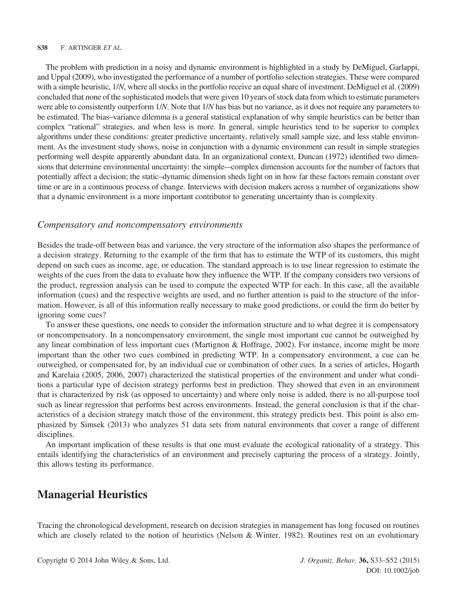#### S38 F. ARTINGER ET AL.

The problem with prediction in a noisy and dynamic environment is highlighted in a study by DeMiguel, Garlappi, and Uppal (2009), who investigated the performance of a number of portfolio selection strategies. These were compared with a simple heuristic,  $1/N$ , where all stocks in the portfolio receive an equal share of investment. DeMiguel et al. (2009) concluded that none of the sophisticated models that were given 10 years of stock data from which to estimate parameters were able to consistently outperform  $1/N$ . Note that  $1/N$  has bias but no variance, as it does not require any parameters to be estimated. The bias–variance dilemma is a general statistical explanation of why simple heuristics can be better than complex "rational" strategies, and when less is more. In general, simple heuristics tend to be superior to complex algorithms under these conditions: greater predictive uncertainty, relatively small sample size, and less stable environment. As the investment study shows, noise in conjunction with a dynamic environment can result in simple strategies performing well despite apparently abundant data. In an organizational context, Duncan (1972) identified two dimensions that determine environmental uncertainty: the simple-–complex dimension accounts for the number of factors that potentially affect a decision; the static–dynamic dimension sheds light on in how far these factors remain constant over time or are in a continuous process of change. Interviews with decision makers across a number of organizations show that a dynamic environment is a more important contributor to generating uncertainty than is complexity.

## Compensatory and noncompensatory environments

Besides the trade-off between bias and variance, the very structure of the information also shapes the performance of a decision strategy. Returning to the example of the firm that has to estimate the WTP of its customers, this might depend on such cues as income, age, or education. The standard approach is to use linear regression to estimate the weights of the cues from the data to evaluate how they influence the WTP. If the company considers two versions of the product, regression analysis can be used to compute the expected WTP for each. In this case, all the available information (cues) and the respective weights are used, and no further attention is paid to the structure of the information. However, is all of this information really necessary to make good predictions, or could the firm do better by ignoring some cues?

To answer these questions, one needs to consider the information structure and to what degree it is compensatory or noncompensatory. In a noncompensatory environment, the single most important cue cannot be outweighed by any linear combination of less important cues (Martignon & Hoffrage, 2002). For instance, income might be more important than the other two cues combined in predicting WTP. In a compensatory environment, a cue can be outweighed, or compensated for, by an individual cue or combination of other cues. In a series of articles, Hogarth and Karelaia (2005, 2006, 2007) characterized the statistical properties of the environment and under what conditions a particular type of decision strategy performs best in prediction. They showed that even in an environment that is characterized by risk (as opposed to uncertainty) and where only noise is added, there is no all-purpose tool such as linear regression that performs best across environments. Instead, the general conclusion is that if the characteristics of a decision strategy match those of the environment, this strategy predicts best. This point is also emphasized by Simsek (2013) who analyzes 51 data sets from natural environments that cover a range of different disciplines.

An important implication of these results is that one must evaluate the ecological rationality of a strategy. This entails identifying the characteristics of an environment and precisely capturing the process of a strategy. Jointly, this allows testing its performance.

# Managerial Heuristics

Tracing the chronological development, research on decision strategies in management has long focused on routines which are closely related to the notion of heuristics (Nelson & Winter, 1982). Routines rest on an evolutionary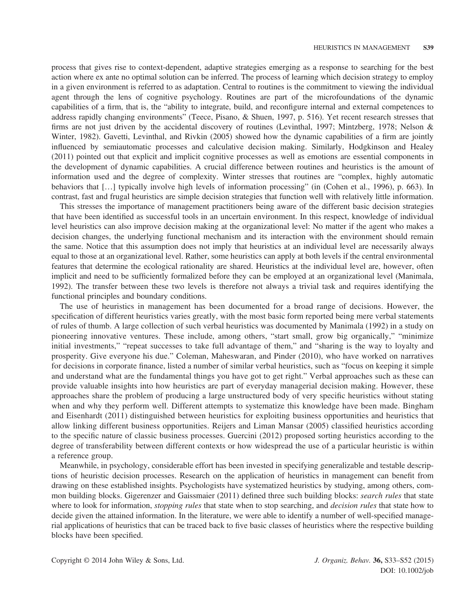process that gives rise to context-dependent, adaptive strategies emerging as a response to searching for the best action where ex ante no optimal solution can be inferred. The process of learning which decision strategy to employ in a given environment is referred to as adaptation. Central to routines is the commitment to viewing the individual agent through the lens of cognitive psychology. Routines are part of the microfoundations of the dynamic capabilities of a firm, that is, the "ability to integrate, build, and reconfigure internal and external competences to address rapidly changing environments" (Teece, Pisano, & Shuen, 1997, p. 516). Yet recent research stresses that firms are not just driven by the accidental discovery of routines (Levinthal, 1997; Mintzberg, 1978; Nelson & Winter, 1982). Gavetti, Levinthal, and Rivkin (2005) showed how the dynamic capabilities of a firm are jointly influenced by semiautomatic processes and calculative decision making. Similarly, Hodgkinson and Healey (2011) pointed out that explicit and implicit cognitive processes as well as emotions are essential components in the development of dynamic capabilities. A crucial difference between routines and heuristics is the amount of information used and the degree of complexity. Winter stresses that routines are "complex, highly automatic behaviors that […] typically involve high levels of information processing" (in (Cohen et al., 1996), p. 663). In contrast, fast and frugal heuristics are simple decision strategies that function well with relatively little information.

This stresses the importance of management practitioners being aware of the different basic decision strategies that have been identified as successful tools in an uncertain environment. In this respect, knowledge of individual level heuristics can also improve decision making at the organizational level: No matter if the agent who makes a decision changes, the underlying functional mechanism and its interaction with the environment should remain the same. Notice that this assumption does not imply that heuristics at an individual level are necessarily always equal to those at an organizational level. Rather, some heuristics can apply at both levels if the central environmental features that determine the ecological rationality are shared. Heuristics at the individual level are, however, often implicit and need to be sufficiently formalized before they can be employed at an organizational level (Manimala, 1992). The transfer between these two levels is therefore not always a trivial task and requires identifying the functional principles and boundary conditions.

The use of heuristics in management has been documented for a broad range of decisions. However, the specification of different heuristics varies greatly, with the most basic form reported being mere verbal statements of rules of thumb. A large collection of such verbal heuristics was documented by Manimala (1992) in a study on pioneering innovative ventures. These include, among others, "start small, grow big organically," "minimize initial investments," "repeat successes to take full advantage of them," and "sharing is the way to loyalty and prosperity. Give everyone his due." Coleman, Maheswaran, and Pinder (2010), who have worked on narratives for decisions in corporate finance, listed a number of similar verbal heuristics, such as "focus on keeping it simple and understand what are the fundamental things you have got to get right." Verbal approaches such as these can provide valuable insights into how heuristics are part of everyday managerial decision making. However, these approaches share the problem of producing a large unstructured body of very specific heuristics without stating when and why they perform well. Different attempts to systematize this knowledge have been made. Bingham and Eisenhardt (2011) distinguished between heuristics for exploiting business opportunities and heuristics that allow linking different business opportunities. Reijers and Liman Mansar (2005) classified heuristics according to the specific nature of classic business processes. Guercini (2012) proposed sorting heuristics according to the degree of transferability between different contexts or how widespread the use of a particular heuristic is within a reference group.

Meanwhile, in psychology, considerable effort has been invested in specifying generalizable and testable descriptions of heuristic decision processes. Research on the application of heuristics in management can benefit from drawing on these established insights. Psychologists have systematized heuristics by studying, among others, common building blocks. Gigerenzer and Gaissmaier (2011) defined three such building blocks: *search rules* that state where to look for information, *stopping rules* that state when to stop searching, and *decision rules* that state how to decide given the attained information. In the literature, we were able to identify a number of well-specified managerial applications of heuristics that can be traced back to five basic classes of heuristics where the respective building blocks have been specified.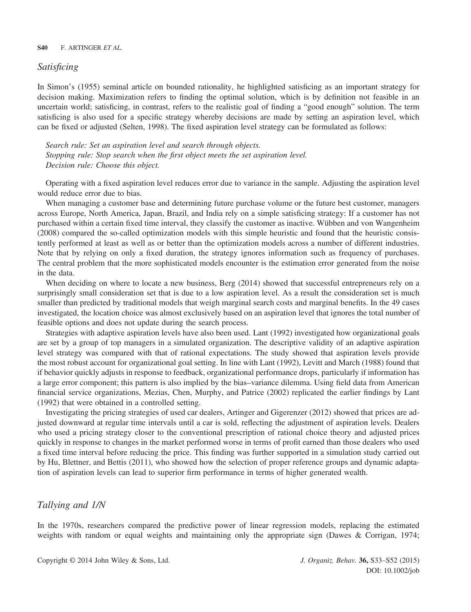#### S40 F. ARTINGER ET AL.

#### Satisficing

In Simon's (1955) seminal article on bounded rationality, he highlighted satisficing as an important strategy for decision making. Maximization refers to finding the optimal solution, which is by definition not feasible in an uncertain world; satisficing, in contrast, refers to the realistic goal of finding a "good enough" solution. The term satisficing is also used for a specific strategy whereby decisions are made by setting an aspiration level, which can be fixed or adjusted (Selten, 1998). The fixed aspiration level strategy can be formulated as follows:

Search rule: Set an aspiration level and search through objects. Stopping rule: Stop search when the first object meets the set aspiration level. Decision rule: Choose this object.

Operating with a fixed aspiration level reduces error due to variance in the sample. Adjusting the aspiration level would reduce error due to bias.

When managing a customer base and determining future purchase volume or the future best customer, managers across Europe, North America, Japan, Brazil, and India rely on a simple satisficing strategy: If a customer has not purchased within a certain fixed time interval, they classify the customer as inactive. Wübben and von Wangenheim (2008) compared the so-called optimization models with this simple heuristic and found that the heuristic consistently performed at least as well as or better than the optimization models across a number of different industries. Note that by relying on only a fixed duration, the strategy ignores information such as frequency of purchases. The central problem that the more sophisticated models encounter is the estimation error generated from the noise in the data.

When deciding on where to locate a new business, Berg (2014) showed that successful entrepreneurs rely on a surprisingly small consideration set that is due to a low aspiration level. As a result the consideration set is much smaller than predicted by traditional models that weigh marginal search costs and marginal benefits. In the 49 cases investigated, the location choice was almost exclusively based on an aspiration level that ignores the total number of feasible options and does not update during the search process.

Strategies with adaptive aspiration levels have also been used. Lant (1992) investigated how organizational goals are set by a group of top managers in a simulated organization. The descriptive validity of an adaptive aspiration level strategy was compared with that of rational expectations. The study showed that aspiration levels provide the most robust account for organizational goal setting. In line with Lant (1992), Levitt and March (1988) found that if behavior quickly adjusts in response to feedback, organizational performance drops, particularly if information has a large error component; this pattern is also implied by the bias–variance dilemma. Using field data from American financial service organizations, Mezias, Chen, Murphy, and Patrice (2002) replicated the earlier findings by Lant (1992) that were obtained in a controlled setting.

Investigating the pricing strategies of used car dealers, Artinger and Gigerenzer (2012) showed that prices are adjusted downward at regular time intervals until a car is sold, reflecting the adjustment of aspiration levels. Dealers who used a pricing strategy closer to the conventional prescription of rational choice theory and adjusted prices quickly in response to changes in the market performed worse in terms of profit earned than those dealers who used a fixed time interval before reducing the price. This finding was further supported in a simulation study carried out by Hu, Blettner, and Bettis (2011), who showed how the selection of proper reference groups and dynamic adaptation of aspiration levels can lead to superior firm performance in terms of higher generated wealth.

### Tallying and 1/N

In the 1970s, researchers compared the predictive power of linear regression models, replacing the estimated weights with random or equal weights and maintaining only the appropriate sign (Dawes & Corrigan, 1974;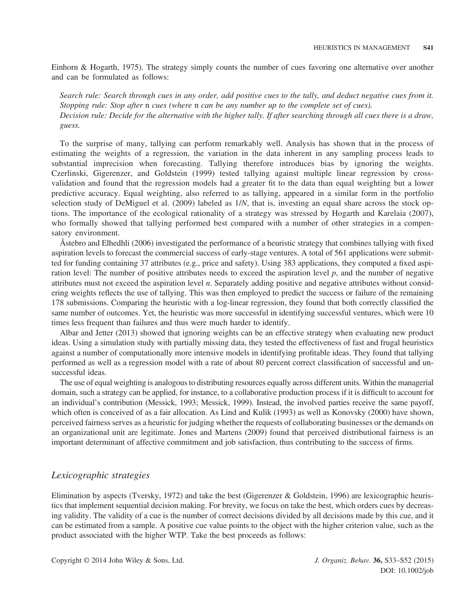Einhorn & Hogarth, 1975). The strategy simply counts the number of cues favoring one alternative over another and can be formulated as follows:

Search rule: Search through cues in any order, add positive cues to the tally, and deduct negative cues from it. Stopping rule: Stop after n cues (where n can be any number up to the complete set of cues). Decision rule: Decide for the alternative with the higher tally. If after searching through all cues there is a draw, guess.

To the surprise of many, tallying can perform remarkably well. Analysis has shown that in the process of estimating the weights of a regression, the variation in the data inherent in any sampling process leads to substantial imprecision when forecasting. Tallying therefore introduces bias by ignoring the weights. Czerlinski, Gigerenzer, and Goldstein (1999) tested tallying against multiple linear regression by crossvalidation and found that the regression models had a greater fit to the data than equal weighting but a lower predictive accuracy. Equal weighting, also referred to as tallying, appeared in a similar form in the portfolio selection study of DeMiguel et al. (2009) labeled as 1/N, that is, investing an equal share across the stock options. The importance of the ecological rationality of a strategy was stressed by Hogarth and Karelaia (2007), who formally showed that tallying performed best compared with a number of other strategies in a compensatory environment.

Åstebro and Elhedhli (2006) investigated the performance of a heuristic strategy that combines tallying with fixed aspiration levels to forecast the commercial success of early-stage ventures. A total of 561 applications were submitted for funding containing 37 attributes (e.g., price and safety). Using 383 applications, they computed a fixed aspiration level: The number of positive attributes needs to exceed the aspiration level  $p$ , and the number of negative attributes must not exceed the aspiration level n. Separately adding positive and negative attributes without considering weights reflects the use of tallying. This was then employed to predict the success or failure of the remaining 178 submissions. Comparing the heuristic with a log-linear regression, they found that both correctly classified the same number of outcomes. Yet, the heuristic was more successful in identifying successful ventures, which were 10 times less frequent than failures and thus were much harder to identify.

Albar and Jetter (2013) showed that ignoring weights can be an effective strategy when evaluating new product ideas. Using a simulation study with partially missing data, they tested the effectiveness of fast and frugal heuristics against a number of computationally more intensive models in identifying profitable ideas. They found that tallying performed as well as a regression model with a rate of about 80 percent correct classification of successful and unsuccessful ideas.

The use of equal weighting is analogous to distributing resources equally across different units. Within the managerial domain, such a strategy can be applied, for instance, to a collaborative production process if it is difficult to account for an individual's contribution (Messick, 1993; Messick, 1999). Instead, the involved parties receive the same payoff, which often is conceived of as a fair allocation. As Lind and Kulik (1993) as well as Konovsky (2000) have shown, perceived fairness serves as a heuristic for judging whether the requests of collaborating businesses or the demands on an organizational unit are legitimate. Jones and Martens (2009) found that perceived distributional fairness is an important determinant of affective commitment and job satisfaction, thus contributing to the success of firms.

### Lexicographic strategies

Elimination by aspects (Tversky, 1972) and take the best (Gigerenzer & Goldstein, 1996) are lexicographic heuristics that implement sequential decision making. For brevity, we focus on take the best, which orders cues by decreasing validity. The validity of a cue is the number of correct decisions divided by all decisions made by this cue, and it can be estimated from a sample. A positive cue value points to the object with the higher criterion value, such as the product associated with the higher WTP. Take the best proceeds as follows: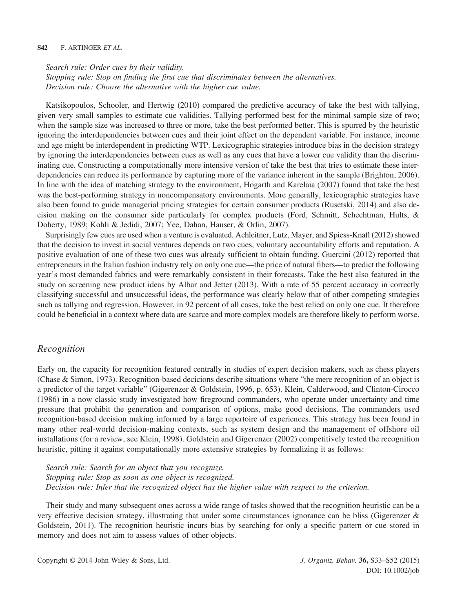#### S42 F. ARTINGER ET AL.

Search rule: Order cues by their validity.

Stopping rule: Stop on finding the first cue that discriminates between the alternatives. Decision rule: Choose the alternative with the higher cue value.

Katsikopoulos, Schooler, and Hertwig (2010) compared the predictive accuracy of take the best with tallying, given very small samples to estimate cue validities. Tallying performed best for the minimal sample size of two; when the sample size was increased to three or more, take the best performed better. This is spurred by the heuristic ignoring the interdependencies between cues and their joint effect on the dependent variable. For instance, income and age might be interdependent in predicting WTP. Lexicographic strategies introduce bias in the decision strategy by ignoring the interdependencies between cues as well as any cues that have a lower cue validity than the discriminating cue. Constructing a computationally more intensive version of take the best that tries to estimate these interdependencies can reduce its performance by capturing more of the variance inherent in the sample (Brighton, 2006). In line with the idea of matching strategy to the environment, Hogarth and Karelaia (2007) found that take the best was the best-performing strategy in noncompensatory environments. More generally, lexicographic strategies have also been found to guide managerial pricing strategies for certain consumer products (Rusetski, 2014) and also decision making on the consumer side particularly for complex products (Ford, Schmitt, Schechtman, Hults, & Doherty, 1989; Kohli & Jedidi, 2007; Yee, Dahan, Hauser, & Orlin, 2007).

Surprisingly few cues are used when a venture is evaluated. Achleitner, Lutz, Mayer, and Spiess-Knafl (2012) showed that the decision to invest in social ventures depends on two cues, voluntary accountability efforts and reputation. A positive evaluation of one of these two cues was already sufficient to obtain funding. Guercini (2012) reported that entrepreneurs in the Italian fashion industry rely on only one cue—the price of natural fibers—to predict the following year's most demanded fabrics and were remarkably consistent in their forecasts. Take the best also featured in the study on screening new product ideas by Albar and Jetter (2013). With a rate of 55 percent accuracy in correctly classifying successful and unsuccessful ideas, the performance was clearly below that of other competing strategies such as tallying and regression. However, in 92 percent of all cases, take the best relied on only one cue. It therefore could be beneficial in a context where data are scarce and more complex models are therefore likely to perform worse.

### Recognition

Early on, the capacity for recognition featured centrally in studies of expert decision makers, such as chess players (Chase & Simon, 1973). Recognition-based decicions describe situations where "the mere recognition of an object is a predictor of the target variable" (Gigerenzer & Goldstein, 1996, p. 653). Klein, Calderwood, and Clinton-Cirocco (1986) in a now classic study investigated how fireground commanders, who operate under uncertainty and time pressure that prohibit the generation and comparison of options, make good decisions. The commanders used recognition-based decision making informed by a large repertoire of experiences. This strategy has been found in many other real-world decision-making contexts, such as system design and the management of offshore oil installations (for a review, see Klein, 1998). Goldstein and Gigerenzer (2002) competitively tested the recognition heuristic, pitting it against computationally more extensive strategies by formalizing it as follows:

Search rule: Search for an object that you recognize. Stopping rule: Stop as soon as one object is recognized. Decision rule: Infer that the recognized object has the higher value with respect to the criterion.

Their study and many subsequent ones across a wide range of tasks showed that the recognition heuristic can be a very effective decision strategy, illustrating that under some circumstances ignorance can be bliss (Gigerenzer & Goldstein, 2011). The recognition heuristic incurs bias by searching for only a specific pattern or cue stored in memory and does not aim to assess values of other objects.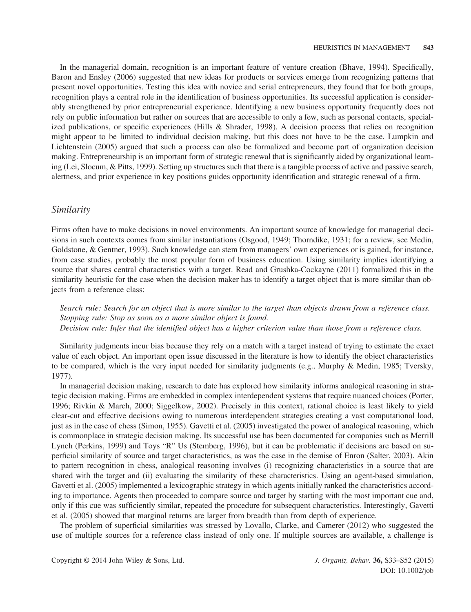In the managerial domain, recognition is an important feature of venture creation (Bhave, 1994). Specifically, Baron and Ensley (2006) suggested that new ideas for products or services emerge from recognizing patterns that present novel opportunities. Testing this idea with novice and serial entrepreneurs, they found that for both groups, recognition plays a central role in the identification of business opportunities. Its successful application is considerably strengthened by prior entrepreneurial experience. Identifying a new business opportunity frequently does not rely on public information but rather on sources that are accessible to only a few, such as personal contacts, specialized publications, or specific experiences (Hills & Shrader, 1998). A decision process that relies on recognition might appear to be limited to individual decision making, but this does not have to be the case. Lumpkin and Lichtenstein (2005) argued that such a process can also be formalized and become part of organization decision making. Entrepreneurship is an important form of strategic renewal that is significantly aided by organizational learning (Lei, Slocum, & Pitts, 1999). Setting up structures such that there is a tangible process of active and passive search, alertness, and prior experience in key positions guides opportunity identification and strategic renewal of a firm.

### Similarity

Firms often have to make decisions in novel environments. An important source of knowledge for managerial decisions in such contexts comes from similar instantiations (Osgood, 1949; Thorndike, 1931; for a review, see Medin, Goldstone, & Gentner, 1993). Such knowledge can stem from managers' own experiences or is gained, for instance, from case studies, probably the most popular form of business education. Using similarity implies identifying a source that shares central characteristics with a target. Read and Grushka-Cockayne (2011) formalized this in the similarity heuristic for the case when the decision maker has to identify a target object that is more similar than objects from a reference class:

Search rule: Search for an object that is more similar to the target than objects drawn from a reference class. Stopping rule: Stop as soon as a more similar object is found. Decision rule: Infer that the identified object has a higher criterion value than those from a reference class.

Similarity judgments incur bias because they rely on a match with a target instead of trying to estimate the exact value of each object. An important open issue discussed in the literature is how to identify the object characteristics to be compared, which is the very input needed for similarity judgments (e.g., Murphy & Medin, 1985; Tversky, 1977).

In managerial decision making, research to date has explored how similarity informs analogical reasoning in strategic decision making. Firms are embedded in complex interdependent systems that require nuanced choices (Porter, 1996; Rivkin & March, 2000; Siggelkow, 2002). Precisely in this context, rational choice is least likely to yield clear-cut and effective decisions owing to numerous interdependent strategies creating a vast computational load, just as in the case of chess (Simon, 1955). Gavetti et al. (2005) investigated the power of analogical reasoning, which is commonplace in strategic decision making. Its successful use has been documented for companies such as Merrill Lynch (Perkins, 1999) and Toys "R" Us (Stemberg, 1996), but it can be problematic if decisions are based on superficial similarity of source and target characteristics, as was the case in the demise of Enron (Salter, 2003). Akin to pattern recognition in chess, analogical reasoning involves (i) recognizing characteristics in a source that are shared with the target and (ii) evaluating the similarity of these characteristics. Using an agent-based simulation, Gavetti et al. (2005) implemented a lexicographic strategy in which agents initially ranked the characteristics according to importance. Agents then proceeded to compare source and target by starting with the most important cue and, only if this cue was sufficiently similar, repeated the procedure for subsequent characteristics. Interestingly, Gavetti et al. (2005) showed that marginal returns are larger from breadth than from depth of experience.

The problem of superficial similarities was stressed by Lovallo, Clarke, and Camerer (2012) who suggested the use of multiple sources for a reference class instead of only one. If multiple sources are available, a challenge is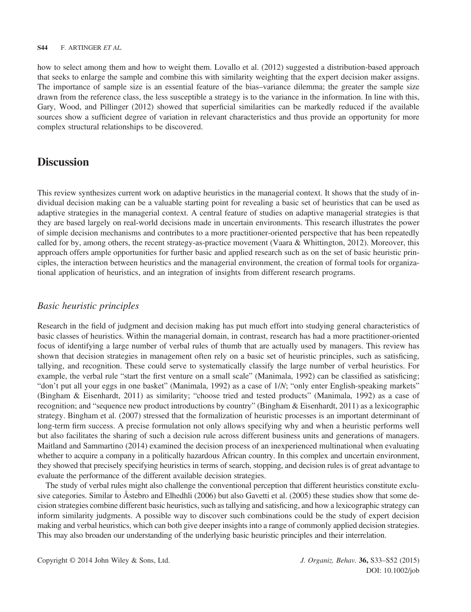#### S44 F. ARTINGER ET AL.

how to select among them and how to weight them. Lovallo et al. (2012) suggested a distribution-based approach that seeks to enlarge the sample and combine this with similarity weighting that the expert decision maker assigns. The importance of sample size is an essential feature of the bias–variance dilemma; the greater the sample size drawn from the reference class, the less susceptible a strategy is to the variance in the information. In line with this, Gary, Wood, and Pillinger (2012) showed that superficial similarities can be markedly reduced if the available sources show a sufficient degree of variation in relevant characteristics and thus provide an opportunity for more complex structural relationships to be discovered.

# **Discussion**

This review synthesizes current work on adaptive heuristics in the managerial context. It shows that the study of individual decision making can be a valuable starting point for revealing a basic set of heuristics that can be used as adaptive strategies in the managerial context. A central feature of studies on adaptive managerial strategies is that they are based largely on real-world decisions made in uncertain environments. This research illustrates the power of simple decision mechanisms and contributes to a more practitioner-oriented perspective that has been repeatedly called for by, among others, the recent strategy-as-practice movement (Vaara & Whittington, 2012). Moreover, this approach offers ample opportunities for further basic and applied research such as on the set of basic heuristic principles, the interaction between heuristics and the managerial environment, the creation of formal tools for organizational application of heuristics, and an integration of insights from different research programs.

# Basic heuristic principles

Research in the field of judgment and decision making has put much effort into studying general characteristics of basic classes of heuristics. Within the managerial domain, in contrast, research has had a more practitioner-oriented focus of identifying a large number of verbal rules of thumb that are actually used by managers. This review has shown that decision strategies in management often rely on a basic set of heuristic principles, such as satisficing, tallying, and recognition. These could serve to systematically classify the large number of verbal heuristics. For example, the verbal rule "start the first venture on a small scale" (Manimala, 1992) can be classified as satisficing; "don't put all your eggs in one basket" (Manimala, 1992) as a case of 1/N; "only enter English-speaking markets" (Bingham & Eisenhardt, 2011) as similarity; "choose tried and tested products" (Manimala, 1992) as a case of recognition; and "sequence new product introductions by country" (Bingham & Eisenhardt, 2011) as a lexicographic strategy. Bingham et al. (2007) stressed that the formalization of heuristic processes is an important determinant of long-term firm success. A precise formulation not only allows specifying why and when a heuristic performs well but also facilitates the sharing of such a decision rule across different business units and generations of managers. Maitland and Sammartino (2014) examined the decision process of an inexperienced multinational when evaluating whether to acquire a company in a politically hazardous African country. In this complex and uncertain environment, they showed that precisely specifying heuristics in terms of search, stopping, and decision rules is of great advantage to evaluate the performance of the different available decision strategies.

The study of verbal rules might also challenge the conventional perception that different heuristics constitute exclusive categories. Similar to Åstebro and Elhedhli (2006) but also Gavetti et al. (2005) these studies show that some decision strategies combine different basic heuristics, such as tallying and satisficing, and how a lexicographic strategy can inform similarity judgments. A possible way to discover such combinations could be the study of expert decision making and verbal heuristics, which can both give deeper insights into a range of commonly applied decision strategies. This may also broaden our understanding of the underlying basic heuristic principles and their interrelation.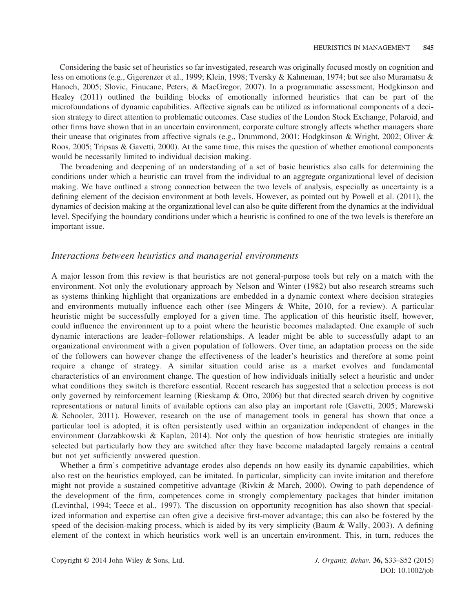Considering the basic set of heuristics so far investigated, research was originally focused mostly on cognition and less on emotions (e.g., Gigerenzer et al., 1999; Klein, 1998; Tversky & Kahneman, 1974; but see also Muramatsu & Hanoch, 2005; Slovic, Finucane, Peters, & MacGregor, 2007). In a programmatic assessment, Hodgkinson and Healey (2011) outlined the building blocks of emotionally informed heuristics that can be part of the microfoundations of dynamic capabilities. Affective signals can be utilized as informational components of a decision strategy to direct attention to problematic outcomes. Case studies of the London Stock Exchange, Polaroid, and other firms have shown that in an uncertain environment, corporate culture strongly affects whether managers share their unease that originates from affective signals (e.g., Drummond, 2001; Hodgkinson & Wright, 2002; Oliver & Roos, 2005; Tripsas & Gavetti, 2000). At the same time, this raises the question of whether emotional components would be necessarily limited to individual decision making.

The broadening and deepening of an understanding of a set of basic heuristics also calls for determining the conditions under which a heuristic can travel from the individual to an aggregate organizational level of decision making. We have outlined a strong connection between the two levels of analysis, especially as uncertainty is a defining element of the decision environment at both levels. However, as pointed out by Powell et al. (2011), the dynamics of decision making at the organizational level can also be quite different from the dynamics at the individual level. Specifying the boundary conditions under which a heuristic is confined to one of the two levels is therefore an important issue.

### Interactions between heuristics and managerial environments

A major lesson from this review is that heuristics are not general-purpose tools but rely on a match with the environment. Not only the evolutionary approach by Nelson and Winter (1982) but also research streams such as systems thinking highlight that organizations are embedded in a dynamic context where decision strategies and environments mutually influence each other (see Mingers & White, 2010, for a review). A particular heuristic might be successfully employed for a given time. The application of this heuristic itself, however, could influence the environment up to a point where the heuristic becomes maladapted. One example of such dynamic interactions are leader–follower relationships. A leader might be able to successfully adapt to an organizational environment with a given population of followers. Over time, an adaptation process on the side of the followers can however change the effectiveness of the leader's heuristics and therefore at some point require a change of strategy. A similar situation could arise as a market evolves and fundamental characteristics of an environment change. The question of how individuals initially select a heuristic and under what conditions they switch is therefore essential. Recent research has suggested that a selection process is not only governed by reinforcement learning (Rieskamp & Otto, 2006) but that directed search driven by cognitive representations or natural limits of available options can also play an important role (Gavetti, 2005; Marewski & Schooler, 2011). However, research on the use of management tools in general has shown that once a particular tool is adopted, it is often persistently used within an organization independent of changes in the environment (Jarzabkowski & Kaplan, 2014). Not only the question of how heuristic strategies are initially selected but particularly how they are switched after they have become maladapted largely remains a central but not yet sufficiently answered question.

Whether a firm's competitive advantage erodes also depends on how easily its dynamic capabilities, which also rest on the heuristics employed, can be imitated. In particular, simplicity can invite imitation and therefore might not provide a sustained competitive advantage (Rivkin & March, 2000). Owing to path dependence of the development of the firm, competences come in strongly complementary packages that hinder imitation (Levinthal, 1994; Teece et al., 1997). The discussion on opportunity recognition has also shown that specialized information and expertise can often give a decisive first-mover advantage; this can also be fostered by the speed of the decision-making process, which is aided by its very simplicity (Baum & Wally, 2003). A defining element of the context in which heuristics work well is an uncertain environment. This, in turn, reduces the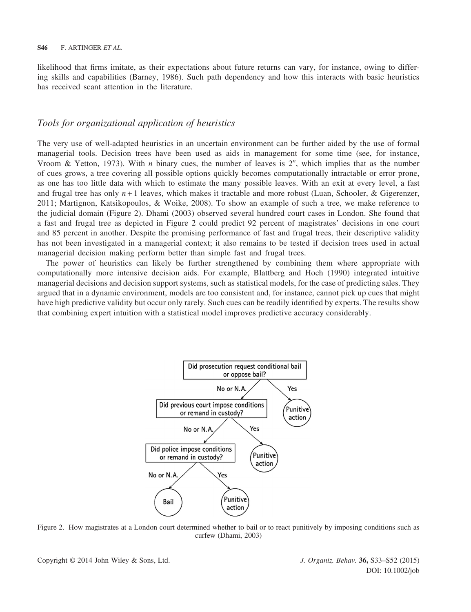#### S46 F. ARTINGER ET AL.

likelihood that firms imitate, as their expectations about future returns can vary, for instance, owing to differing skills and capabilities (Barney, 1986). Such path dependency and how this interacts with basic heuristics has received scant attention in the literature.

### Tools for organizational application of heuristics

The very use of well-adapted heuristics in an uncertain environment can be further aided by the use of formal managerial tools. Decision trees have been used as aids in management for some time (see, for instance, Vroom & Yetton, 1973). With *n* binary cues, the number of leaves is  $2^n$ , which implies that as the number of cues grows, a tree covering all possible options quickly becomes computationally intractable or error prone, as one has too little data with which to estimate the many possible leaves. With an exit at every level, a fast and frugal tree has only  $n+1$  leaves, which makes it tractable and more robust (Luan, Schooler, & Gigerenzer, 2011; Martignon, Katsikopoulos, & Woike, 2008). To show an example of such a tree, we make reference to the judicial domain (Figure 2). Dhami (2003) observed several hundred court cases in London. She found that a fast and frugal tree as depicted in Figure 2 could predict 92 percent of magistrates' decisions in one court and 85 percent in another. Despite the promising performance of fast and frugal trees, their descriptive validity has not been investigated in a managerial context; it also remains to be tested if decision trees used in actual managerial decision making perform better than simple fast and frugal trees.

The power of heuristics can likely be further strengthened by combining them where appropriate with computationally more intensive decision aids. For example, Blattberg and Hoch (1990) integrated intuitive managerial decisions and decision support systems, such as statistical models, for the case of predicting sales. They argued that in a dynamic environment, models are too consistent and, for instance, cannot pick up cues that might have high predictive validity but occur only rarely. Such cues can be readily identified by experts. The results show that combining expert intuition with a statistical model improves predictive accuracy considerably.



Figure 2. How magistrates at a London court determined whether to bail or to react punitively by imposing conditions such as curfew (Dhami, 2003)

Copyright © 2014 John Wiley & Sons, Ltd. J. Organiz. Behav. 36, S33–S52 (2015)

DOI: 10.1002/job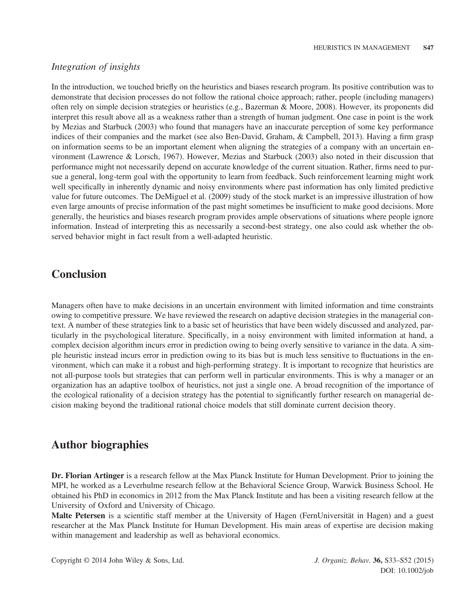### Integration of insights

In the introduction, we touched briefly on the heuristics and biases research program. Its positive contribution was to demonstrate that decision processes do not follow the rational choice approach; rather, people (including managers) often rely on simple decision strategies or heuristics (e.g., Bazerman & Moore, 2008). However, its proponents did interpret this result above all as a weakness rather than a strength of human judgment. One case in point is the work by Mezias and Starbuck (2003) who found that managers have an inaccurate perception of some key performance indices of their companies and the market (see also Ben-David, Graham, & Campbell, 2013). Having a firm grasp on information seems to be an important element when aligning the strategies of a company with an uncertain environment (Lawrence & Lorsch, 1967). However, Mezias and Starbuck (2003) also noted in their discussion that performance might not necessarily depend on accurate knowledge of the current situation. Rather, firms need to pursue a general, long-term goal with the opportunity to learn from feedback. Such reinforcement learning might work well specifically in inherently dynamic and noisy environments where past information has only limited predictive value for future outcomes. The DeMiguel et al. (2009) study of the stock market is an impressive illustration of how even large amounts of precise information of the past might sometimes be insufficient to make good decisions. More generally, the heuristics and biases research program provides ample observations of situations where people ignore information. Instead of interpreting this as necessarily a second-best strategy, one also could ask whether the observed behavior might in fact result from a well-adapted heuristic.

# Conclusion

Managers often have to make decisions in an uncertain environment with limited information and time constraints owing to competitive pressure. We have reviewed the research on adaptive decision strategies in the managerial context. A number of these strategies link to a basic set of heuristics that have been widely discussed and analyzed, particularly in the psychological literature. Specifically, in a noisy environment with limited information at hand, a complex decision algorithm incurs error in prediction owing to being overly sensitive to variance in the data. A simple heuristic instead incurs error in prediction owing to its bias but is much less sensitive to fluctuations in the environment, which can make it a robust and high-performing strategy. It is important to recognize that heuristics are not all-purpose tools but strategies that can perform well in particular environments. This is why a manager or an organization has an adaptive toolbox of heuristics, not just a single one. A broad recognition of the importance of the ecological rationality of a decision strategy has the potential to significantly further research on managerial decision making beyond the traditional rational choice models that still dominate current decision theory.

# Author biographies

Dr. Florian Artinger is a research fellow at the Max Planck Institute for Human Development. Prior to joining the MPI, he worked as a Leverhulme research fellow at the Behavioral Science Group, Warwick Business School. He obtained his PhD in economics in 2012 from the Max Planck Institute and has been a visiting research fellow at the University of Oxford and University of Chicago.

Malte Petersen is a scientific staff member at the University of Hagen (FernUniversität in Hagen) and a guest researcher at the Max Planck Institute for Human Development. His main areas of expertise are decision making within management and leadership as well as behavioral economics.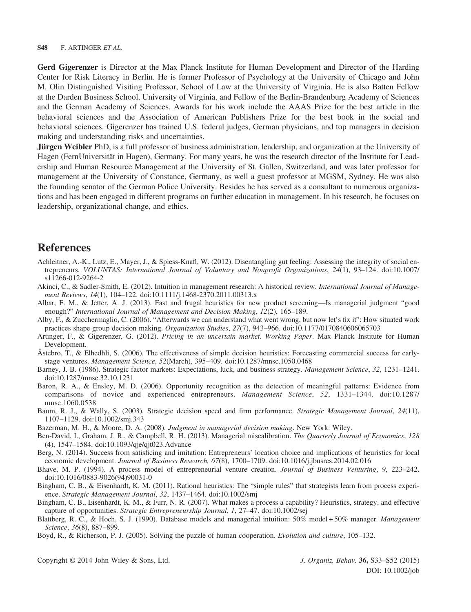#### S48 F. ARTINGER ET AL.

Gerd Gigerenzer is Director at the Max Planck Institute for Human Development and Director of the Harding Center for Risk Literacy in Berlin. He is former Professor of Psychology at the University of Chicago and John M. Olin Distinguished Visiting Professor, School of Law at the University of Virginia. He is also Batten Fellow at the Darden Business School, University of Virginia, and Fellow of the Berlin-Brandenburg Academy of Sciences and the German Academy of Sciences. Awards for his work include the AAAS Prize for the best article in the behavioral sciences and the Association of American Publishers Prize for the best book in the social and behavioral sciences. Gigerenzer has trained U.S. federal judges, German physicians, and top managers in decision making and understanding risks and uncertainties.

**Jürgen Weibler** PhD, is a full professor of business administration, leadership, and organization at the University of Hagen (FernUniversität in Hagen), Germany. For many years, he was the research director of the Institute for Leadership and Human Resource Management at the University of St. Gallen, Switzerland, and was later professor for management at the University of Constance, Germany, as well a guest professor at MGSM, Sydney. He was also the founding senator of the German Police University. Besides he has served as a consultant to numerous organizations and has been engaged in different programs on further education in management. In his research, he focuses on leadership, organizational change, and ethics.

# **References**

- Achleitner, A.-K., Lutz, E., Mayer, J., & Spiess-Knafl, W. (2012). Disentangling gut feeling: Assessing the integrity of social entrepreneurs. VOLUNTAS: International Journal of Voluntary and Nonprofit Organizations, 24(1), 93–124. doi:10.1007/ s11266-012-9264-2
- Akinci, C., & Sadler-Smith, E. (2012). Intuition in management research: A historical review. International Journal of Management Reviews, 14(1), 104–122. doi:10.1111/j.1468-2370.2011.00313.x
- Albar, F. M., & Jetter, A. J. (2013). Fast and frugal heuristics for new product screening—Is managerial judgment "good enough?" International Journal of Management and Decision Making, 12(2), 165–189.
- Alby, F., & Zucchermaglio, C. (2006). "Afterwards we can understand what went wrong, but now let's fix it": How situated work practices shape group decision making. Organization Studies, 27(7), 943–966. doi:10.1177/0170840606065703
- Artinger, F., & Gigerenzer, G. (2012). Pricing in an uncertain market. Working Paper. Max Planck Institute for Human Development.
- Åstebro, T., & Elhedhli, S. (2006). The effectiveness of simple decision heuristics: Forecasting commercial success for earlystage ventures. Management Science, 52(March), 395–409. doi:10.1287/mnsc.1050.0468
- Barney, J. B. (1986). Strategic factor markets: Expectations, luck, and business strategy. Management Science, 32, 1231–1241. doi:10.1287/mnsc.32.10.1231
- Baron, R. A., & Ensley, M. D. (2006). Opportunity recognition as the detection of meaningful patterns: Evidence from comparisons of novice and experienced entrepreneurs. Management Science, 52, 1331–1344. doi:10.1287/ mnsc.1060.0538
- Baum, R. J., & Wally, S. (2003). Strategic decision speed and firm performance. Strategic Management Journal, 24(11), 1107–1129. doi:10.1002/smj.343

Bazerman, M. H., & Moore, D. A. (2008). Judgment in managerial decision making. New York: Wiley.

- Ben-David, I., Graham, J. R., & Campbell, R. H. (2013). Managerial miscalibration. The Quarterly Journal of Economics, 128 (4), 1547–1584. doi:10.1093/qje/qjt023.Advance
- Berg, N. (2014). Success from satisficing and imitation: Entrepreneurs' location choice and implications of heuristics for local economic development. Journal of Business Research, 67(8), 1700-1709. doi:10.1016/j.jbusres.2014.02.016
- Bhave, M. P. (1994). A process model of entrepreneurial venture creation. Journal of Business Venturing, 9, 223-242. doi:10.1016/0883-9026(94)90031-0
- Bingham, C. B., & Eisenhardt, K. M. (2011). Rational heuristics: The "simple rules" that strategists learn from process experience. Strategic Management Journal, 32, 1437–1464. doi:10.1002/smj
- Bingham, C. B., Eisenhardt, K. M., & Furr, N. R. (2007). What makes a process a capability? Heuristics, strategy, and effective capture of opportunities. Strategic Entrepreneurship Journal, 1, 27–47. doi:10.1002/sej
- Blattberg, R. C., & Hoch, S. J. (1990). Database models and managerial intuition: 50% model + 50% manager. Management Science, 36(8), 887–899.
- Boyd, R., & Richerson, P. J. (2005). Solving the puzzle of human cooperation. Evolution and culture, 105–132.

Copyright © 2014 John Wiley & Sons, Ltd. J. Organiz. Behav. 36, S33–S52 (2015)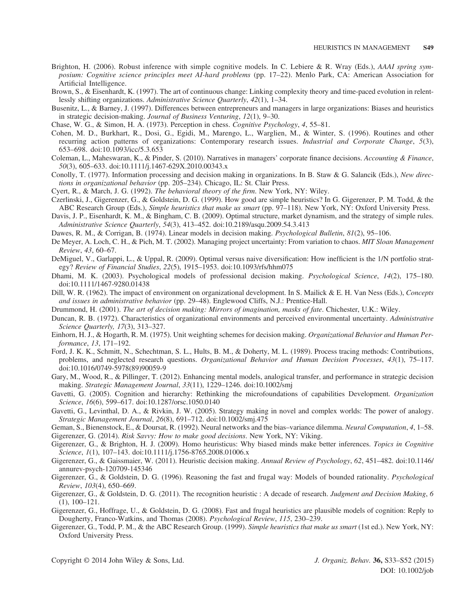- Brighton, H. (2006). Robust inference with simple cognitive models. In C. Lebiere & R. Wray (Eds.), AAAI spring symposium: Cognitive science principles meet AI-hard problems (pp. 17–22). Menlo Park, CA: American Association for Artificial Intelligence.
- Brown, S., & Eisenhardt, K. (1997). The art of continuous change: Linking complexity theory and time-paced evolution in relentlessly shifting organizations. Administrative Science Quarterly, 42(1), 1–34.
- Busenitz, L., & Barney, J. (1997). Differences between entrepreneurs and managers in large organizations: Biases and heuristics in strategic decision-making. Journal of Business Venturing, 12(1), 9–30.
- Chase, W. G., & Simon, H. A. (1973). Perception in chess. Cognitive Psychology, 4, 55–81.
- Cohen, M. D., Burkhart, R., Dosi, G., Egidi, M., Marengo, L., Warglien, M., & Winter, S. (1996). Routines and other recurring action patterns of organizations: Contemporary research issues. Industrial and Corporate Change, 5(3), 653–698. doi:10.1093/icc/5.3.653
- Coleman, L., Maheswaran, K., & Pinder, S. (2010). Narratives in managers' corporate finance decisions. Accounting & Finance, 50(3), 605–633. doi:10.1111/j.1467-629X.2010.00343.x
- Conolly, T. (1977). Information processing and decision making in organizations. In B. Staw & G. Salancik (Eds.), New directions in organizational behavior (pp. 205–234). Chicago, IL: St. Clair Press.
- Cyert, R., & March, J. G. (1992). The behavioral theory of the firm. New York, NY: Wiley.
- Czerlinski, J., Gigerenzer, G., & Goldstein, D. G. (1999). How good are simple heuristics? In G. Gigerenzer, P. M. Todd, & the ABC Research Group (Eds.), Simple heuristics that make us smart (pp. 97–118). New York, NY: Oxford University Press.
- Davis, J. P., Eisenhardt, K. M., & Bingham, C. B. (2009). Optimal structure, market dynamism, and the strategy of simple rules. Administrative Science Quarterly, 54(3), 413–452. doi:10.2189/asqu.2009.54.3.413
- Dawes, R. M., & Corrigan, B. (1974). Linear models in decision making. *Psychological Bulletin*, 81(2), 95–106.
- De Meyer, A. Loch, C. H., & Pich, M. T. (2002). Managing project uncertainty: From variation to chaos. MIT Sloan Management Review, 43, 60–67.
- DeMiguel, V., Garlappi, L., & Uppal, R. (2009). Optimal versus naive diversification: How inefficient is the 1/N portfolio strategy? Review of Financial Studies, 22(5), 1915–1953. doi:10.1093/rfs/hhm075
- Dhami, M. K. (2003). Psychological models of professional decision making. Psychological Science, 14(2), 175–180. doi:10.1111/1467-9280.01438
- Dill, W. R. (1962). The impact of environment on organizational development. In S. Mailick & E. H. Van Ness (Eds.), Concepts and issues in administrative behavior (pp. 29–48). Englewood Cliffs, N.J.: Prentice-Hall.
- Drummond, H. (2001). The art of decision making: Mirrors of imagination, masks of fate. Chichester, U.K.: Wiley.
- Duncan, R. B. (1972). Characteristics of organizational environments and perceived environmental uncertainty. Administrative Science Quarterly, 17(3), 313–327.
- Einhorn, H. J., & Hogarth, R. M. (1975). Unit weighting schemes for decision making. Organizational Behavior and Human Performance, 13, 171–192.
- Ford, J. K. K., Schmitt, N., Schechtman, S. L., Hults, B. M., & Doherty, M. L. (1989). Process tracing methods: Contributions, problems, and neglected research questions. Organizational Behavior and Human Decision Processes, 43(1), 75–117. doi:10.1016/0749-5978(89)90059-9
- Gary, M., Wood, R., & Pillinger, T. (2012). Enhancing mental models, analogical transfer, and performance in strategic decision making. Strategic Management Journal, 33(11), 1229–1246. doi:10.1002/smj
- Gavetti, G. (2005). Cognition and hierarchy: Rethinking the microfoundations of capabilities Development. Organization Science, 16(6), 599–617. doi:10.1287/orsc.1050.0140
- Gavetti, G., Levinthal, D. A., & Rivkin, J. W. (2005). Strategy making in novel and complex worlds: The power of analogy. Strategic Management Journal, 26(8), 691–712. doi:10.1002/smj.475
- Geman, S., Bienenstock, E., & Doursat, R. (1992). Neural networks and the bias–variance dilemma. Neural Computation, 4, 1–58.
- Gigerenzer, G. (2014). Risk Savvy: How to make good decisions. New York, NY: Viking.
- Gigerenzer, G., & Brighton, H. J. (2009). Homo heuristicus: Why biased minds make better inferences. Topics in Cognitive Science, 1(1), 107–143. doi:10.1111/j.1756-8765.2008.01006.x
- Gigerenzer, G., & Gaissmaier, W. (2011). Heuristic decision making. Annual Review of Psychology, 62, 451-482. doi:10.1146/ annurev-psych-120709-145346
- Gigerenzer, G., & Goldstein, D. G. (1996). Reasoning the fast and frugal way: Models of bounded rationality. Psychological Review, 103(4), 650–669.
- Gigerenzer, G., & Goldstein, D. G. (2011). The recognition heuristic : A decade of research. Judgment and Decision Making, 6 (1), 100–121.
- Gigerenzer, G., Hoffrage, U., & Goldstein, D. G. (2008). Fast and frugal heuristics are plausible models of cognition: Reply to Dougherty, Franco-Watkins, and Thomas (2008). Psychological Review, 115, 230–239.
- Gigerenzer, G., Todd, P. M., & the ABC Research Group. (1999). Simple heuristics that make us smart (1st ed.). New York, NY: Oxford University Press.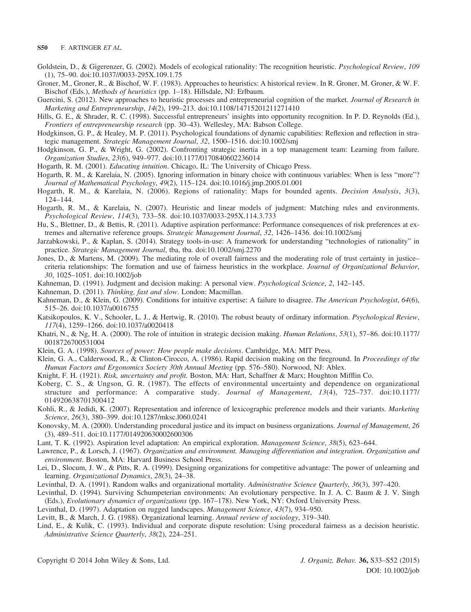#### S50 F. ARTINGER ET AL.

- Goldstein, D., & Gigerenzer, G. (2002). Models of ecological rationality: The recognition heuristic. Psychological Review, 109 (1), 75–90. doi:10.1037//0033-295X.109.1.75
- Groner, M., Groner, R., & Bischof, W. F. (1983). Approaches to heuristics: A historical review. In R. Groner, M. Groner, & W. F. Bischof (Eds.), Methods of heuristics (pp. 1–18). Hillsdale, NJ: Erlbaum.
- Guercini, S. (2012). New approaches to heuristic processes and entrepreneurial cognition of the market. Journal of Research in Marketing and Entrepreneurship, 14(2), 199–213. doi:10.1108/14715201211271410
- Hills, G. E., & Shrader, R. C. (1998). Successful entrepreneurs' insights into opportunity recognition. In P. D. Reynolds (Ed.), Frontiers of entrepreneurship research (pp. 30–43). Wellesley, MA: Babson College.
- Hodgkinson, G. P., & Healey, M. P. (2011). Psychological foundations of dynamic capabilities: Reflexion and reflection in strategic management. Strategic Management Journal, 32, 1500–1516. doi:10.1002/smj
- Hodgkinson, G. P., & Wright, G. (2002). Confronting strategic inertia in a top management team: Learning from failure. Organization Studies, 23(6), 949–977. doi:10.1177/0170840602236014
- Hogarth, R. M. (2001). Educating intuition. Chicago, IL: The University of Chicago Press.
- Hogarth, R. M., & Karelaia, N. (2005). Ignoring information in binary choice with continuous variables: When is less "more"? Journal of Mathematical Psychology, 49(2), 115–124. doi:10.1016/j.jmp.2005.01.001
- Hogarth, R. M., & Karelaia, N. (2006). Regions of rationality: Maps for bounded agents. Decision Analysis, 3(3), 124–144.
- Hogarth, R. M., & Karelaia, N. (2007). Heuristic and linear models of judgment: Matching rules and environments. Psychological Review, 114(3), 733–58. doi:10.1037/0033-295X.114.3.733
- Hu, S., Blettner, D., & Bettis, R. (2011). Adaptive aspiration performance: Performance consequences of risk preferences at extremes and alternative reference groups. Strategic Management Journal, 32, 1426–1436. doi:10.1002/smj
- Jarzabkowski, P., & Kaplan, S. (2014). Strategy tools-in-use: A framework for understanding "technologies of rationality" in practice. Strategic Management Journal, tba, tba. doi:10.1002/smj.2270
- Jones, D., & Martens, M. (2009). The mediating role of overall fairness and the moderating role of trust certainty in justice– criteria relationships: The formation and use of fairness heuristics in the workplace. Journal of Organizational Behavior, 30, 1025–1051. doi:10.1002/job
- Kahneman, D. (1991). Judgment and decision making: A personal view. Psychological Science, 2, 142–145.
- Kahneman, D. (2011). Thinking, fast and slow. London: Macmillan.
- Kahneman, D., & Klein, G. (2009). Conditions for intuitive expertise: A failure to disagree. The American Psychologist, 64(6), 515–26. doi:10.1037/a0016755
- Katsikopoulos, K. V., Schooler, L. J., & Hertwig, R. (2010). The robust beauty of ordinary information. Psychological Review, 117(4), 1259–1266. doi:10.1037/a0020418
- Khatri, N., & Ng, H. A. (2000). The role of intuition in strategic decision making. Human Relations, 53(1), 57–86. doi:10.1177/ 0018726700531004
- Klein, G. A. (1998). Sources of power: How people make decisions. Cambridge, MA: MIT Press.
- Klein, G. A., Calderwood, R., & Clinton-Cirocco, A. (1986). Rapid decision making on the fireground. In Proceedings of the Human Factors and Ergonomics Society 30th Annual Meeting (pp. 576–580). Norwood, NJ: Ablex.
- Knight, F. H. (1921). Risk, uncertainty and profit. Boston, MA: Hart, Schaffner & Marx; Houghton Mifflin Co.
- Koberg, C. S., & Ungson, G. R. (1987). The effects of environmental uncertainty and dependence on organizational structure and performance: A comparative study. Journal of Management, 13(4), 725–737. doi:10.1177/ 014920638701300412
- Kohli, R., & Jedidi, K. (2007). Representation and inference of lexicographic preference models and their variants. Marketing Science, 26(3), 380–399. doi:10.1287/mksc.l060.0241
- Konovsky, M. A. (2000). Understanding procedural justice and its impact on business organizations. *Journal of Management*, 26 (3), 489–511. doi:10.1177/014920630002600306
- Lant, T. K. (1992). Aspiration level adaptation: An empirical exploration. Management Science, 38(5), 623–644.
- Lawrence, P., & Lorsch, J. (1967). Organization and environment. Managing differentiation and integration. Organization and environment. Boston, MA: Harvard Business School Press.
- Lei, D., Slocum, J. W., & Pitts, R. A. (1999). Designing organizations for competitive advantage: The power of unlearning and learning. Organizational Dynamics, 28(3), 24–38.
- Levinthal, D. A. (1991). Random walks and organizational mortality. Administrative Science Quarterly, 36(3), 397–420.
- Levinthal, D. (1994). Surviving Schumpeterian environments: An evolutionary perspective. In J. A. C. Baum & J. V. Singh (Eds.), Evolutionary dynamics of organizations (pp. 167–178). New York, NY: Oxford University Press.
- Levinthal, D. (1997). Adaptation on rugged landscapes. Management Science, 43(7), 934–950.
- Levitt, B., & March, J. G. (1988). Organizational learning. Annual review of sociology, 319–340.
- Lind, E., & Kulik, C. (1993). Individual and corporate dispute resolution: Using procedural fairness as a decision heuristic. Administrative Science Quarterly, 38(2), 224–251.

Copyright © 2014 John Wiley & Sons, Ltd. J. Organiz. Behav. 36, S33–S52 (2015)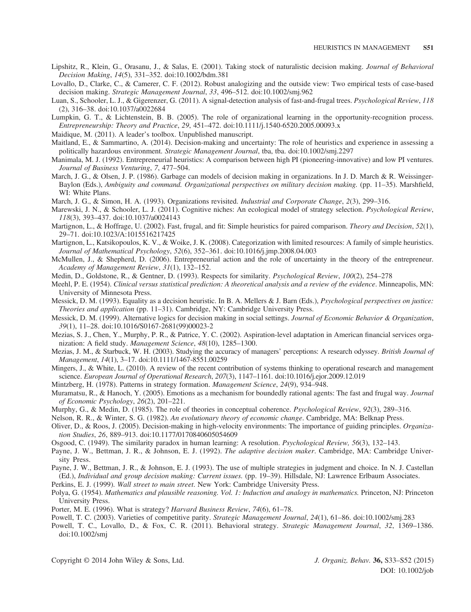- Lipshitz, R., Klein, G., Orasanu, J., & Salas, E. (2001). Taking stock of naturalistic decision making. Journal of Behavioral Decision Making, 14(5), 331–352. doi:10.1002/bdm.381
- Lovallo, D., Clarke, C., & Camerer, C. F. (2012). Robust analogizing and the outside view: Two empirical tests of case-based decision making. Strategic Management Journal, 33, 496-512. doi:10.1002/smj.962
- Luan, S., Schooler, L. J., & Gigerenzer, G. (2011). A signal-detection analysis of fast-and-frugal trees. Psychological Review, 118 (2), 316–38. doi:10.1037/a0022684
- Lumpkin, G. T., & Lichtenstein, B. B. (2005). The role of organizational learning in the opportunity-recognition process. Entrepreneurship: Theory and Practice, 29, 451–472. doi:10.1111/j.1540-6520.2005.00093.x
- Maidique, M. (2011). A leader's toolbox. Unpublished manuscript.
- Maitland, E., & Sammartino, A. (2014). Decision-making and uncertainty: The role of heuristics and experience in assessing a politically hazardous environment. Strategic Management Journal, tba, tba. doi:10.1002/smj.2297
- Manimala, M. J. (1992). Entrepreneurial heuristics: A comparison between high PI (pioneering-innovative) and low PI ventures. Journal of Business Venturing, 7, 477–504.
- March, J. G., & Olsen, J. P. (1986). Garbage can models of decision making in organizations. In J. D. March & R. Weissinger-Baylon (Eds.), Ambiguity and command. Organizational perspectives on military decision making. (pp. 11–35). Marshfield, WI: White Plans.
- March, J. G., & Simon, H. A. (1993). Organizations revisited. Industrial and Corporate Change, 2(3), 299–316.
- Marewski, J. N., & Schooler, L. J. (2011). Cognitive niches: An ecological model of strategy selection. *Psychological Review*, 118(3), 393–437. doi:10.1037/a0024143
- Martignon, L., & Hoffrage, U. (2002). Fast, frugal, and fit: Simple heuristics for paired comparison. Theory and Decision, 52(1), 29–71. doi:10.1023/A:1015516217425
- Martignon, L., Katsikopoulos, K. V., & Woike, J. K. (2008). Categorization with limited resources: A family of simple heuristics. Journal of Mathematical Psychology, 52(6), 352–361. doi:10.1016/j.jmp.2008.04.003
- McMullen, J., & Shepherd, D. (2006). Entrepreneurial action and the role of uncertainty in the theory of the entrepreneur. Academy of Management Review, 31(1), 132–152.
- Medin, D., Goldstone, R., & Gentner, D. (1993). Respects for similarity. Psychological Review, 100(2), 254–278
- Meehl, P. E. (1954). Clinical versus statistical prediction: A theoretical analysis and a review of the evidence. Minneapolis, MN: University of Minnesota Press.
- Messick, D. M. (1993). Equality as a decision heuristic. In B. A. Mellers & J. Barn (Eds.), *Psychological perspectives on justice:* Theories and application (pp. 11–31). Cambridge, NY: Cambridge University Press.
- Messick, D. M. (1999). Alternative logics for decision making in social settings. Journal of Economic Behavior & Organization, 39(1), 11–28. doi:10.1016/S0167-2681(99)00023-2
- Mezias, S. J., Chen, Y., Murphy, P. R., & Patrice, Y. C. (2002). Aspiration-level adaptation in American financial services organization: A field study. Management Science, 48(10), 1285–1300.
- Mezias, J. M., & Starbuck, W. H. (2003). Studying the accuracy of managers' perceptions: A research odyssey. British Journal of Management, 14(1), 3–17. doi:10.1111/1467-8551.00259
- Mingers, J., & White, L. (2010). A review of the recent contribution of systems thinking to operational research and management science. European Journal of Operational Research, 207(3), 1147–1161. doi:10.1016/j.ejor.2009.12.019
- Mintzberg, H. (1978). Patterns in strategy formation. *Management Science*, 24(9), 934–948.
- Muramatsu, R., & Hanoch, Y. (2005). Emotions as a mechanism for boundedly rational agents: The fast and frugal way. Journal of Economic Psychology, 26(2), 201–221.
- Murphy, G., & Medin, D. (1985). The role of theories in conceptual coherence. *Psychological Review*, 92(3), 289–316.
- Nelson, R. R., & Winter, S. G. (1982). An evolutionary theory of economic change. Cambridge, MA: Belknap Press.
- Oliver, D., & Roos, J. (2005). Decision-making in high-velocity environments: The importance of guiding principles. Organization Studies, 26, 889–913. doi:10.1177/0170840605054609
- Osgood, C. (1949). The similarity paradox in human learning: A resolution. *Psychological Review, 56*(3), 132-143.
- Payne, J. W., Bettman, J. R., & Johnson, E. J. (1992). The adaptive decision maker. Cambridge, MA: Cambridge University Press.
- Payne, J. W., Bettman, J. R., & Johnson, E. J. (1993). The use of multiple strategies in judgment and choice. In N. J. Castellan (Ed.), Individual and group decision making: Current issues. (pp. 19–39). Hillsdale, NJ: Lawrence Erlbaum Associates.
- Perkins, E. J. (1999). *Wall street to main street*. New York: Cambridge University Press.
- Polya, G. (1954). Mathematics and plausible reasoning. Vol. 1: Induction and analogy in mathematics. Princeton, NJ: Princeton University Press.
- Porter, M. E. (1996). What is strategy? Harvard Business Review, 74(6), 61–78.
- Powell, T. C. (2003). Varieties of competitive parity. *Strategic Management Journal*, 24(1), 61–86. doi:10.1002/smj.283
- Powell, T. C., Lovallo, D., & Fox, C. R. (2011). Behavioral strategy. Strategic Management Journal, 32, 1369–1386. doi:10.1002/smj